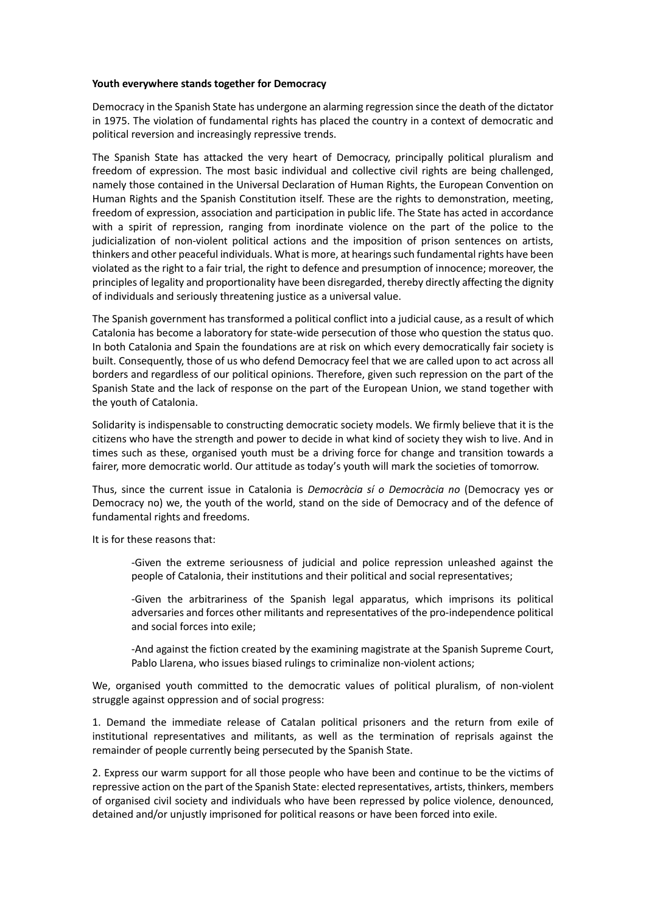## **Youth everywhere stands together for Democracy**

Democracy in the Spanish State has undergone an alarming regression since the death of the dictator in 1975. The violation of fundamental rights has placed the country in a context of democratic and political reversion and increasingly repressive trends.

The Spanish State has attacked the very heart of Democracy, principally political pluralism and freedom of expression. The most basic individual and collective civil rights are being challenged, namely those contained in the Universal Declaration of Human Rights, the European Convention on Human Rights and the Spanish Constitution itself. These are the rights to demonstration, meeting, freedom of expression, association and participation in public life. The State has acted in accordance with a spirit of repression, ranging from inordinate violence on the part of the police to the judicialization of non-violent political actions and the imposition of prison sentences on artists, thinkers and other peaceful individuals. What is more, at hearings such fundamental rights have been violated as the right to a fair trial, the right to defence and presumption of innocence; moreover, the principles of legality and proportionality have been disregarded, thereby directly affecting the dignity of individuals and seriously threatening justice as a universal value.

The Spanish government has transformed a political conflict into a judicial cause, as a result of which Catalonia has become a laboratory for state-wide persecution of those who question the status quo. In both Catalonia and Spain the foundations are at risk on which every democratically fair society is built. Consequently, those of us who defend Democracy feel that we are called upon to act across all borders and regardless of our political opinions. Therefore, given such repression on the part of the Spanish State and the lack of response on the part of the European Union, we stand together with the youth of Catalonia.

Solidarity is indispensable to constructing democratic society models. We firmly believe that it is the citizens who have the strength and power to decide in what kind of society they wish to live. And in times such as these, organised youth must be a driving force for change and transition towards a fairer, more democratic world. Our attitude as today's youth will mark the societies of tomorrow.

Thus, since the current issue in Catalonia is *Democràcia sí o Democràcia no* (Democracy yes or Democracy no) we, the youth of the world, stand on the side of Democracy and of the defence of fundamental rights and freedoms.

It is for these reasons that:

-Given the extreme seriousness of judicial and police repression unleashed against the people of Catalonia, their institutions and their political and social representatives;

-Given the arbitrariness of the Spanish legal apparatus, which imprisons its political adversaries and forces other militants and representatives of the pro-independence political and social forces into exile;

-And against the fiction created by the examining magistrate at the Spanish Supreme Court, Pablo Llarena, who issues biased rulings to criminalize non-violent actions;

We, organised youth committed to the democratic values of political pluralism, of non-violent struggle against oppression and of social progress:

1. Demand the immediate release of Catalan political prisoners and the return from exile of institutional representatives and militants, as well as the termination of reprisals against the remainder of people currently being persecuted by the Spanish State.

2. Express our warm support for all those people who have been and continue to be the victims of repressive action on the part of the Spanish State: elected representatives, artists, thinkers, members of organised civil society and individuals who have been repressed by police violence, denounced, detained and/or unjustly imprisoned for political reasons or have been forced into exile.